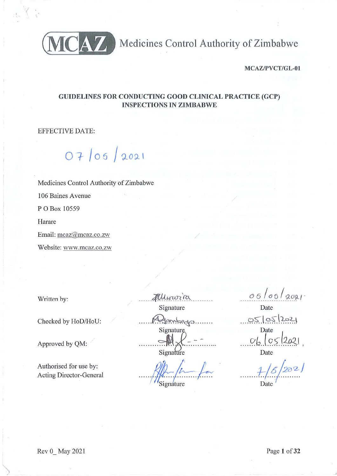

CAZ Medicines Control Authority of Zimbabwe

MCAZ/PVCT/GL-01

# **GUIDELINES FOR CONDUCTING GOOD CLINICAL PRACTICE (GCP) INSPECTIONS IN ZIMBABWE**

**EFFECTIVE DATE:** 

 $07/05/2021$ 

Medicines Control Authority of Zimbabwe 106 Baines Avenue P O Box 10559 Harare Email: mcaz@mcaz.co.zw Website: www.mcaz.co.zw

Written by:

Checked by HoD/HoU:

Approved by QM:

Authorised for use by: **Acting Director-General**  Allinoric Signature tanslagen. Signature Signature

Signature

 $05/05$ Date

05/05/2021 Date  $Ob \log$ Date

Date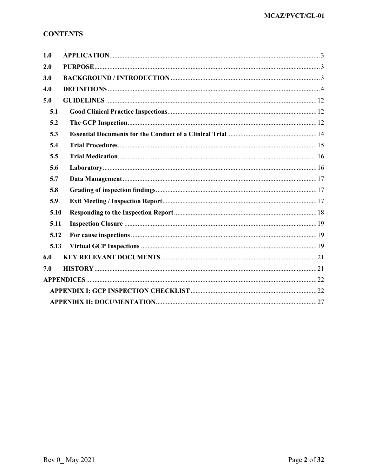# **CONTENTS**

| 1.0  |  |
|------|--|
| 2.0  |  |
| 3.0  |  |
| 4.0  |  |
| 5.0  |  |
| 5.1  |  |
| 5.2  |  |
| 5.3  |  |
| 5.4  |  |
| 5.5  |  |
| 5.6  |  |
| 5.7  |  |
| 5.8  |  |
| 5.9  |  |
| 5.10 |  |
| 5.11 |  |
| 5.12 |  |
| 5.13 |  |
| 6.0  |  |
| 7.0  |  |
|      |  |
|      |  |
|      |  |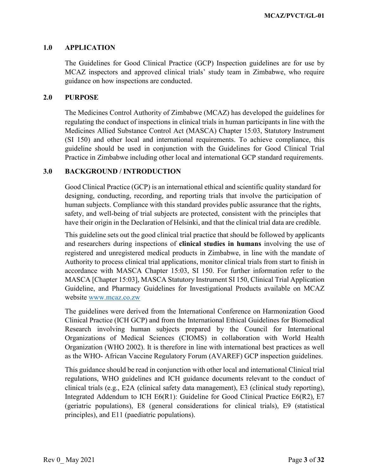#### <span id="page-2-0"></span>**1.0 APPLICATION**

The Guidelines for Good Clinical Practice (GCP) Inspection guidelines are for use by MCAZ inspectors and approved clinical trials' study team in Zimbabwe, who require guidance on how inspections are conducted.

#### <span id="page-2-1"></span>**2.0 PURPOSE**

The Medicines Control Authority of Zimbabwe (MCAZ) has developed the guidelines for regulating the conduct of inspections in clinical trials in human participants in line with the Medicines Allied Substance Control Act (MASCA) Chapter 15:03, Statutory Instrument (SI 150) and other local and international requirements. To achieve compliance, this guideline should be used in conjunction with the Guidelines for Good Clinical Trial Practice in Zimbabwe including other local and international GCP standard requirements.

#### <span id="page-2-2"></span>**3.0 BACKGROUND / INTRODUCTION**

Good Clinical Practice (GCP) is an international ethical and scientific quality standard for designing, conducting, recording, and reporting trials that involve the participation of human subjects. Compliance with this standard provides public assurance that the rights, safety, and well-being of trial subjects are protected, consistent with the principles that have their origin in the Declaration of Helsinki, and that the clinical trial data are credible.

This guideline sets out the good clinical trial practice that should be followed by applicants and researchers during inspections of **clinical studies in humans** involving the use of registered and unregistered medical products in Zimbabwe, in line with the mandate of Authority to process clinical trial applications, monitor clinical trials from start to finish in accordance with MASCA Chapter 15:03, SI 150. For further information refer to the MASCA [Chapter 15:03], MASCA Statutory Instrument SI 150, Clinical Trial Application Guideline, and Pharmacy Guidelines for Investigational Products available on MCAZ website [www.mcaz.co.zw](http://www.mcaz.co.zw/)

The guidelines were derived from the International Conference on Harmonization Good Clinical Practice (ICH GCP) and from the International Ethical Guidelines for Biomedical Research involving human subjects prepared by the Council for International Organizations of Medical Sciences (CIOMS) in collaboration with World Health Organization (WHO 2002). It is therefore in line with international best practices as well as the WHO- African Vaccine Regulatory Forum (AVAREF) GCP inspection guidelines.

This guidance should be read in conjunction with other local and international Clinical trial regulations, WHO guidelines and ICH guidance documents relevant to the conduct of clinical trials (e.g., E2A (clinical safety data management), E3 (clinical study reporting), Integrated Addendum to ICH E6(R1): Guideline for Good Clinical Practice E6(R2), E7 (geriatric populations), E8 (general considerations for clinical trials), E9 (statistical principles), and E11 (paediatric populations).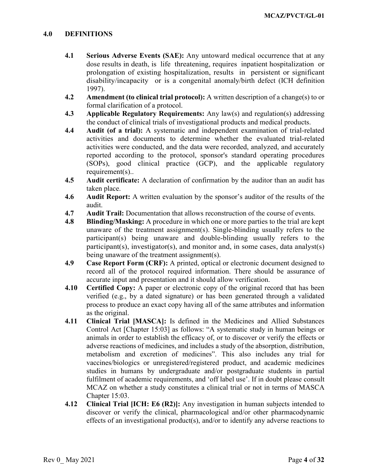#### <span id="page-3-0"></span>**4.0 DEFINITIONS**

- **4.1 Serious Adverse Events (SAE):** Any untoward medical occurrence that at any dose results in death, is life threatening, requires inpatient hospitalization or prolongation of existing hospitalization, results in persistent or significant disability/incapacity or is a congenital anomaly/birth defect (ICH definition 1997).
- **4.2 Amendment (to clinical trial protocol):** A written description of a change(s) to or formal clarification of a protocol.
- **4.3 Applicable Regulatory Requirements:** Any law(s) and regulation(s) addressing the conduct of clinical trials of investigational products and medical products.
- **4.4 Audit (of a trial):** A systematic and independent examination of trial-related activities and documents to determine whether the evaluated trial-related activities were conducted, and the data were recorded, analyzed, and accurately reported according to the protocol, sponsor's standard operating procedures (SOPs), good clinical practice (GCP), and the applicable regulatory requirement(s)..
- **4.5 Audit certificate:** A declaration of confirmation by the auditor than an audit has taken place.
- **4.6 Audit Report:** A written evaluation by the sponsor's auditor of the results of the audit.
- **4.7 Audit Trail:** Documentation that allows reconstruction of the course of events.
- **4.8 Blinding/Masking:** A procedure in which one or more parties to the trial are kept unaware of the treatment assignment(s). Single-blinding usually refers to the participant(s) being unaware and double-blinding usually refers to the participant(s), investigator(s), and monitor and, in some cases, data analyst(s) being unaware of the treatment assignment(s).
- **4.9 Case Report Form (CRF):** A printed, optical or electronic document designed to record all of the protocol required information. There should be assurance of accurate input and presentation and it should allow verification.
- **4.10 Certified Copy:** A paper or electronic copy of the original record that has been verified (e.g., by a dated signature) or has been generated through a validated process to produce an exact copy having all of the same attributes and information as the original.
- **4.11 Clinical Trial [MASCA]:** Is defined in the Medicines and Allied Substances Control Act [Chapter 15:03] as follows: "A systematic study in human beings or animals in order to establish the efficacy of, or to discover or verify the effects or adverse reactions of medicines, and includes a study of the absorption, distribution, metabolism and excretion of medicines". This also includes any trial for vaccines/biologics or unregistered/registered product, and academic medicines studies in humans by undergraduate and/or postgraduate students in partial fulfilment of academic requirements, and 'off label use'. If in doubt please consult MCAZ on whether a study constitutes a clinical trial or not in terms of MASCA Chapter 15:03.
- **4.12 Clinical Trial [ICH: E6 (R2)]:** Any investigation in human subjects intended to discover or verify the clinical, pharmacological and/or other pharmacodynamic effects of an investigational product(s), and/or to identify any adverse reactions to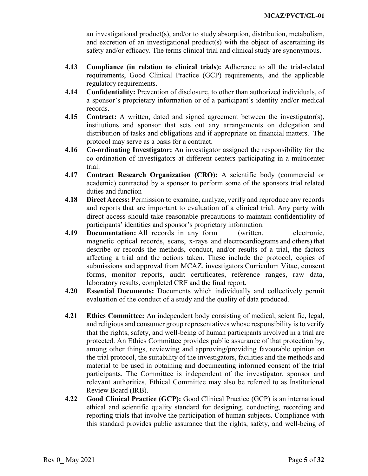an investigational product(s), and/or to study absorption, distribution, metabolism, and excretion of an investigational product(s) with the object of ascertaining its safety and/or efficacy. The terms clinical trial and clinical study are synonymous.

- **4.13 Compliance (in relation to clinical trials):** Adherence to all the trial-related requirements, Good Clinical Practice (GCP) requirements, and the applicable regulatory requirements.
- **4.14 Confidentiality:** Prevention of disclosure, to other than authorized individuals, of a sponsor's proprietary information or of a participant's identity and/or medical records.
- **4.15 Contract:** A written, dated and signed agreement between the investigator(s), institutions and sponsor that sets out any arrangements on delegation and distribution of tasks and obligations and if appropriate on financial matters. The protocol may serve as a basis for a contract.
- **4.16 Co-ordinating Investigator:** An investigator assigned the responsibility for the co-ordination of investigators at different centers participating in a multicenter trial.
- **4.17 Contract Research Organization (CRO):** A scientific body (commercial or academic) contracted by a sponsor to perform some of the sponsors trial related duties and function
- **4.18 Direct Access:** Permission to examine, analyze, verify and reproduce any records and reports that are important to evaluation of a clinical trial. Any party with direct access should take reasonable precautions to maintain confidentiality of participants' identities and sponsor's proprietary information.
- **4.19 Documentation:** All records in any form (written, electronic, magnetic optical records, scans, x-rays and electrocardiograms and others) that describe or records the methods, conduct, and/or results of a trial, the factors affecting a trial and the actions taken. These include the protocol, copies of submissions and approval from MCAZ, investigators Curriculum Vitae, consent forms, monitor reports, audit certificates, reference ranges, raw data, laboratory results, completed CRF and the final report.
- **4.20 Essential Documents:** Documents which individually and collectively permit evaluation of the conduct of a study and the quality of data produced.
- **4.21 Ethics Committee:** An independent body consisting of medical, scientific, legal, and religious and consumer group representatives whose responsibility is to verify that the rights, safety, and well-being of human participants involved in a trial are protected. An Ethics Committee provides public assurance of that protection by, among other things, reviewing and approving/providing favourable opinion on the trial protocol, the suitability of the investigators, facilities and the methods and material to be used in obtaining and documenting informed consent of the trial participants. The Committee is independent of the investigator, sponsor and relevant authorities. Ethical Committee may also be referred to as Institutional Review Board (IRB).
- **4.22 Good Clinical Practice (GCP):** Good Clinical Practice (GCP) is an international ethical and scientific quality standard for designing, conducting, recording and reporting trials that involve the participation of human subjects. Compliance with this standard provides public assurance that the rights, safety, and well-being of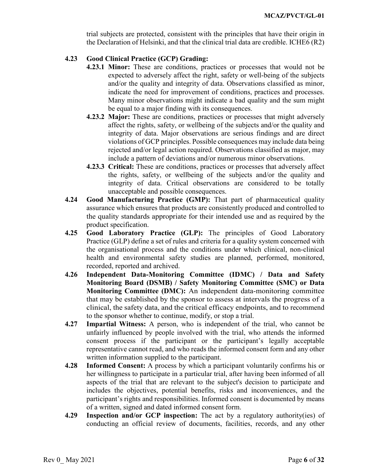trial subjects are protected, consistent with the principles that have their origin in the Declaration of Helsinki, and that the clinical trial data are credible. ICHE6 (R2)

### **4.23 Good Clinical Practice (GCP) Grading:**

- **4.23.1 Minor:** These are conditions, practices or processes that would not be expected to adversely affect the right, safety or well-being of the subjects and/or the quality and integrity of data. Observations classified as minor, indicate the need for improvement of conditions, practices and processes. Many minor observations might indicate a bad quality and the sum might be equal to a major finding with its consequences.
- **4.23.2 Major:** These are conditions, practices or processes that might adversely affect the rights, safety, or wellbeing of the subjects and/or the quality and integrity of data. Major observations are serious findings and are direct violations of GCP principles. Possible consequences may include data being rejected and/or legal action required. Observations classified as major, may include a pattern of deviations and/or numerous minor observations.
- **4.23.3 Critical:** These are conditions, practices or processes that adversely affect the rights, safety, or wellbeing of the subjects and/or the quality and integrity of data. Critical observations are considered to be totally unacceptable and possible consequences.
- **4.24 Good Manufacturing Practice (GMP):** That part of pharmaceutical quality assurance which ensures that products are consistently produced and controlled to the quality standards appropriate for their intended use and as required by the product specification.
- **4.25 Good Laboratory Practice (GLP):** The principles of [Good Laboratory](https://www.ema.europa.eu/en/glossary/good-laboratory-practice)  [Practice](https://www.ema.europa.eu/en/glossary/good-laboratory-practice) (GLP) define a set of rules and criteria for a quality system concerned with the organisational process and the conditions under which clinical, non-clinical health and environmental safety studies are planned, performed, monitored, recorded, reported and archived.
- **4.26 Independent Data-Monitoring Committee (IDMC) / Data and Safety Monitoring Board (DSMB) / Safety Monitoring Committee (SMC) or Data Monitoring Committee (DMC):** An independent data-monitoring committee that may be established by the sponsor to assess at intervals the progress of a clinical, the safety data, and the critical efficacy endpoints, and to recommend to the sponsor whether to continue, modify, or stop a trial.
- **4.27 Impartial Witness:** A person, who is independent of the trial, who cannot be unfairly influenced by people involved with the trial, who attends the informed consent process if the participant or the participant's legally acceptable representative cannot read, and who reads the informed consent form and any other written information supplied to the participant.
- **4.28 Informed Consent:** A process by which a participant voluntarily confirms his or her willingness to participate in a particular trial, after having been informed of all aspects of the trial that are relevant to the subject's decision to participate and includes the objectives, potential benefits, risks and inconveniences, and the participant's rights and responsibilities. Informed consent is documented by means of a written, signed and dated informed consent form.
- **4.29 Inspection and/or GCP inspection:** The act by a regulatory authority(ies) of conducting an official review of documents, facilities, records, and any other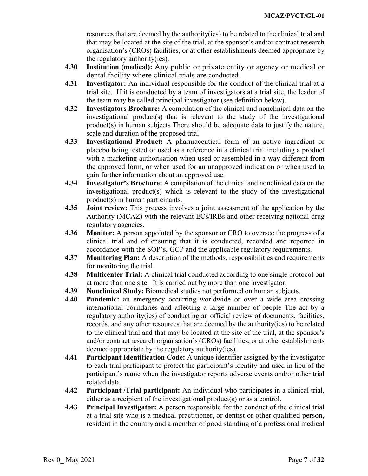resources that are deemed by the authority(ies) to be related to the clinical trial and that may be located at the site of the trial, at the sponsor's and/or contract research organisation's (CROs) facilities, or at other establishments deemed appropriate by the regulatory authority(ies).

- **4.30 Institution (medical):** Any public or private entity or agency or medical or dental facility where clinical trials are conducted.
- **4.31 Investigator:** An individual responsible for the conduct of the clinical trial at a trial site. If it is conducted by a team of investigators at a trial site, the leader of the team may be called principal investigator (see definition below).
- **4.32 Investigators Brochure:** A compilation of the clinical and nonclinical data on the investigational product(s) that is relevant to the study of the investigational product(s) in human subjects There should be adequate data to justify the nature, scale and duration of the proposed trial.
- **4.33 Investigational Product:** A pharmaceutical form of an active ingredient or placebo being tested or used as a reference in a clinical trial including a product with a marketing authorisation when used or assembled in a way different from the approved form, or when used for an unapproved indication or when used to gain further information about an approved use.
- **4.34 Investigator's Brochure:** A compilation of the clinical and nonclinical data on the investigational product(s) which is relevant to the study of the investigational product(s) in human participants.
- **4.35 Joint review:** This process involves a joint assessment of the application by the Authority (MCAZ) with the relevant ECs/IRBs and other receiving national drug regulatory agencies.
- **4.36 Monitor:** A person appointed by the sponsor or CRO to oversee the progress of a clinical trial and of ensuring that it is conducted, recorded and reported in accordance with the SOP's, GCP and the applicable regulatory requirements.
- **4.37 Monitoring Plan:** A description of the methods, responsibilities and requirements for monitoring the trial.
- **4.38 Multicenter Trial:** A clinical trial conducted according to one single protocol but at more than one site. It is carried out by more than one investigator.
- **4.39 Nonclinical Study:** Biomedical studies not performed on human subjects.
- **4.40 Pandemic:** an emergency occurring worldwide or over a wide area crossing international boundaries and affecting a large number of people The act by a regulatory authority(ies) of conducting an official review of documents, facilities, records, and any other resources that are deemed by the authority(ies) to be related to the clinical trial and that may be located at the site of the trial, at the sponsor's and/or contract research organisation's (CROs) facilities, or at other establishments deemed appropriate by the regulatory authority(ies).
- **4.41 Participant Identification Code:** A unique identifier assigned by the investigator to each trial participant to protect the participant's identity and used in lieu of the participant's name when the investigator reports adverse events and/or other trial related data.
- **4.42 Participant /Trial participant:** An individual who participates in a clinical trial, either as a recipient of the investigational product(s) or as a control.
- **4.43 Principal Investigator:** A person responsible for the conduct of the clinical trial at a trial site who is a medical practitioner, or dentist or other qualified person, resident in the country and a member of good standing of a professional medical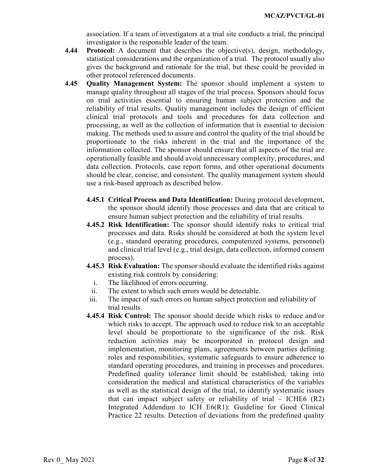association. If a team of investigators at a trial site conducts a trial, the principal investigator is the responsible leader of the team.

- **4.44 Protocol:** A document that describes the objective(s), design, methodology, statistical considerations and the organization of a trial. The protocol usually also gives the background and rationale for the trial, but these could be provided in other protocol referenced documents.
- **4.45 Quality Management System:** The sponsor should implement a system to manage quality throughout all stages of the trial process. Sponsors should focus on trial activities essential to ensuring human subject protection and the reliability of trial results. Quality management includes the design of efficient clinical trial protocols and tools and procedures for data collection and processing, as well as the collection of information that is essential to decision making. The methods used to assure and control the quality of the trial should be proportionate to the risks inherent in the trial and the importance of the information collected. The sponsor should ensure that all aspects of the trial are operationally feasible and should avoid unnecessary complexity, procedures, and data collection. Protocols, case report forms, and other operational documents should be clear, concise, and consistent. The quality management system should use a risk-based approach as described below.
	- **4.45.1 Critical Process and Data Identification:** During protocol development, the sponsor should identify those processes and data that are critical to ensure human subject protection and the reliability of trial results.
	- **4.45.2 Risk Identification:** The sponsor should identify risks to critical trial processes and data. Risks should be considered at both the system level (e.g., standard operating procedures, computerized systems, personnel) and clinical trial level (e.g., trial design, data collection, informed consent process).
	- **4.45.3 Risk Evaluation:** The sponsor should evaluate the identified risks against existing risk controls by considering:
		- i. The likelihood of errors occurring.
	- ii. The extent to which such errors would be detectable.
	- iii. The impact of such errors on human subject protection and reliability of trial results.
	- **4.45.4 Risk Control:** The sponsor should decide which risks to reduce and/or which risks to accept. The approach used to reduce risk to an acceptable level should be proportionate to the significance of the risk. Risk reduction activities may be incorporated in protocol design and implementation, monitoring plans, agreements between parties defining roles and responsibilities, systematic safeguards to ensure adherence to standard operating procedures, and training in processes and procedures. Predefined quality tolerance limit should be established, taking into consideration the medical and statistical characteristics of the variables as well as the statistical design of the trial, to identify systematic issues that can impact subject safety or reliability of trial  $-$  ICHE6 (R2) Integrated Addendum to ICH E6(R1): Guideline for Good Clinical Practice 22 results. Detection of deviations from the predefined quality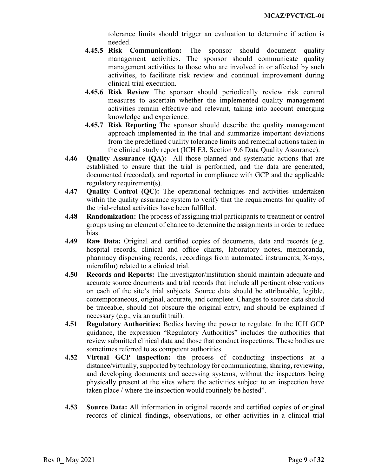tolerance limits should trigger an evaluation to determine if action is needed.

- **4.45.5 Risk Communication:** The sponsor should document quality management activities. The sponsor should communicate quality management activities to those who are involved in or affected by such activities, to facilitate risk review and continual improvement during clinical trial execution.
- **4.45.6 Risk Review** The sponsor should periodically review risk control measures to ascertain whether the implemented quality management activities remain effective and relevant, taking into account emerging knowledge and experience.
- **4.45.7 Risk Reporting** The sponsor should describe the quality management approach implemented in the trial and summarize important deviations from the predefined quality tolerance limits and remedial actions taken in the clinical study report (ICH E3, Section 9.6 Data Quality Assurance).
- **4.46 Quality Assurance (QA):** All those planned and systematic actions that are established to ensure that the trial is performed, and the data are generated, documented (recorded), and reported in compliance with GCP and the applicable regulatory requirement(s).
- **4.47 Quality Control (QC):** The operational techniques and activities undertaken within the quality assurance system to verify that the requirements for quality of the trial-related activities have been fulfilled.
- **4.48 Randomization:** The process of assigning trial participants to treatment or control groups using an element of chance to determine the assignments in order to reduce bias.
- **4.49 Raw Data:** Original and certified copies of documents, data and records (e.g. hospital records, clinical and office charts, laboratory notes, memoranda, pharmacy dispensing records, recordings from automated instruments, X-rays, microfilm) related to a clinical trial.
- **4.50 Records and Reports:** The investigator/institution should maintain adequate and accurate source documents and trial records that include all pertinent observations on each of the site's trial subjects. Source data should be attributable, legible, contemporaneous, original, accurate, and complete. Changes to source data should be traceable, should not obscure the original entry, and should be explained if necessary (e.g., via an audit trail).
- **4.51 Regulatory Authorities:** Bodies having the power to regulate. In the ICH GCP guidance, the expression "Regulatory Authorities" includes the authorities that review submitted clinical data and those that conduct inspections. These bodies are sometimes referred to as competent authorities.
- **4.52 Virtual GCP inspection:** the process of conducting inspections at a distance/virtually, supported by technology for communicating, sharing, reviewing, and developing documents and accessing systems, without the inspectors being physically present at the sites where the activities subject to an inspection have taken place / where the inspection would routinely be hosted".
- **4.53 Source Data:** All information in original records and certified copies of original records of clinical findings, observations, or other activities in a clinical trial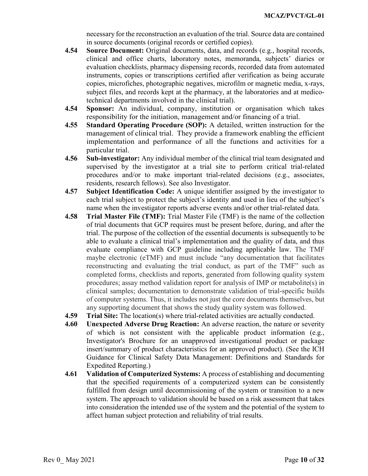necessary for the reconstruction an evaluation of the trial. Source data are contained in source documents (original records or certified copies).

- **4.54 Source Document:** Original documents, data, and records (e.g., hospital records, clinical and office charts, laboratory notes, memoranda, subjects' diaries or evaluation checklists, pharmacy dispensing records, recorded data from automated instruments, copies or transcriptions certified after verification as being accurate copies, microfiches, photographic negatives, microfilm or magnetic media, x-rays, subject files, and records kept at the pharmacy, at the laboratories and at medicotechnical departments involved in the clinical trial).
- **4.54 Sponsor:** An individual, company, institution or organisation which takes responsibility for the initiation, management and/or financing of a trial.
- **4.55 Standard Operating Procedure (SOP):** A detailed, written instruction for the management of clinical trial. They provide a framework enabling the efficient implementation and performance of all the functions and activities for a particular trial.
- **4.56 Sub-investigator:** Any individual member of the clinical trial team designated and supervised by the investigator at a trial site to perform critical trial-related procedures and/or to make important trial-related decisions (e.g., associates, residents, research fellows). See also Investigator.
- **4.57 Subject Identification Code:** A unique identifier assigned by the investigator to each trial subject to protect the subject's identity and used in lieu of the subject's name when the investigator reports adverse events and/or other trial-related data.
- **4.58 Trial Master File (TMF):** Trial Master File (TMF) is the name of the collection of trial documents that GCP requires must be present before, during, and after the trial. The purpose of the collection of the essential documents is subsequently to be able to evaluate a clinical trial's implementation and the quality of data, and thus evaluate compliance with GCP guideline including applicable law. The TMF maybe electronic (eTMF) and must include "any documentation that facilitates reconstructing and evaluating the trial conduct, as part of the TMF" such as completed forms, checklists and reports, generated from following quality system procedures; assay method validation report for analysis of IMP or metabolite(s) in clinical samples; documentation to demonstrate validation of trial-specific builds of computer systems. Thus, it includes not just the core documents themselves, but any supporting document that shows the study quality system was followed.
- **4.59 Trial Site:** The location(s) where trial-related activities are actually conducted.
- **4.60 Unexpected Adverse Drug Reaction:** An adverse reaction, the nature or severity of which is not consistent with the applicable product information (e.g., Investigator's Brochure for an unapproved investigational product or package insert/summary of product characteristics for an approved product). (See the ICH Guidance for Clinical Safety Data Management: Definitions and Standards for Expedited Reporting.)
- **4.61 Validation of Computerized Systems:** A process of establishing and documenting that the specified requirements of a computerized system can be consistently fulfilled from design until decommissioning of the system or transition to a new system. The approach to validation should be based on a risk assessment that takes into consideration the intended use of the system and the potential of the system to affect human subject protection and reliability of trial results.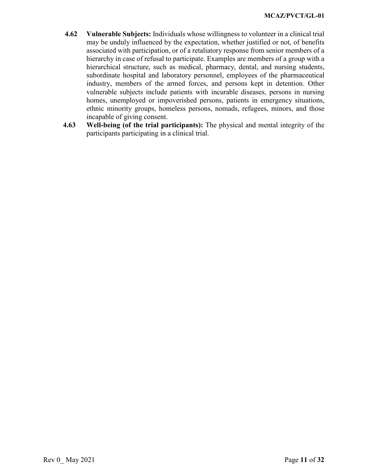- **4.62 Vulnerable Subjects:** Individuals whose willingness to volunteer in a clinical trial may be unduly influenced by the expectation, whether justified or not, of benefits associated with participation, or of a retaliatory response from senior members of a hierarchy in case of refusal to participate. Examples are members of a group with a hierarchical structure, such as medical, pharmacy, dental, and nursing students, subordinate hospital and laboratory personnel, employees of the pharmaceutical industry, members of the armed forces, and persons kept in detention. Other vulnerable subjects include patients with incurable diseases, persons in nursing homes, unemployed or impoverished persons, patients in emergency situations, ethnic minority groups, homeless persons, nomads, refugees, minors, and those incapable of giving consent.
- **4.63 Well-being (of the trial participants):** The physical and mental integrity of the participants participating in a clinical trial.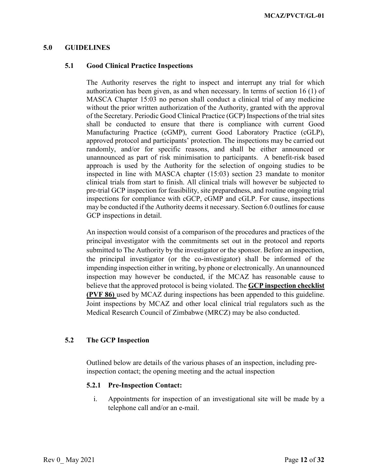#### <span id="page-11-1"></span><span id="page-11-0"></span>**5.0 GUIDELINES**

#### **5.1 Good Clinical Practice Inspections**

The Authority reserves the right to inspect and interrupt any trial for which authorization has been given, as and when necessary. In terms of section 16 (1) of MASCA Chapter 15:03 no person shall conduct a clinical trial of any medicine without the prior written authorization of the Authority, granted with the approval of the Secretary. Periodic Good Clinical Practice (GCP) Inspections of the trial sites shall be conducted to ensure that there is compliance with current Good Manufacturing Practice (cGMP), current Good Laboratory Practice (cGLP), approved protocol and participants' protection. The inspections may be carried out randomly, and/or for specific reasons, and shall be either announced or unannounced as part of risk minimisation to participants. A benefit-risk based approach is used by the Authority for the selection of ongoing studies to be inspected in line with MASCA chapter (15:03) section 23 mandate to monitor clinical trials from start to finish. All clinical trials will however be subjected to pre-trial GCP inspection for feasibility, site preparedness, and routine ongoing trial inspections for compliance with cGCP, cGMP and cGLP. For cause, inspections may be conducted if the Authority deems it necessary. Section 6.0 outlines for cause GCP inspections in detail.

An inspection would consist of a comparison of the procedures and practices of the principal investigator with the commitments set out in the protocol and reports submitted to The Authority by the investigator or the sponsor. Before an inspection, the principal investigator (or the co-investigator) shall be informed of the impending inspection either in writing, by phone or electronically. An unannounced inspection may however be conducted, if the MCAZ has reasonable cause to believe that the approved protocol is being violated. The **GCP inspection checklist (PVF 86)** used by MCAZ during inspections has been appended to this guideline. Joint inspections by MCAZ and other local clinical trial regulators such as the Medical Research Council of Zimbabwe (MRCZ) may be also conducted.

#### <span id="page-11-2"></span>**5.2 The GCP Inspection**

Outlined below are details of the various phases of an inspection, including preinspection contact; the opening meeting and the actual inspection

### **5.2.1 Pre-Inspection Contact:**

i. Appointments for inspection of an investigational site will be made by a telephone call and/or an e-mail.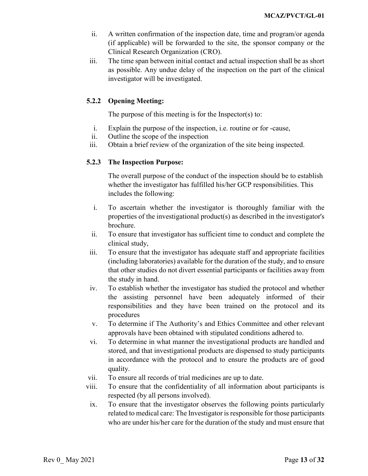- ii. A written confirmation of the inspection date, time and program/or agenda (if applicable) will be forwarded to the site, the sponsor company or the Clinical Research Organization (CRO).
- iii. The time span between initial contact and actual inspection shall be as short as possible. Any undue delay of the inspection on the part of the clinical investigator will be investigated.

## **5.2.2 Opening Meeting:**

The purpose of this meeting is for the Inspector(s) to:

- i. Explain the purpose of the inspection, i.e. routine or for -cause,
- ii. Outline the scope of the inspection
- iii. Obtain a brief review of the organization of the site being inspected.

### **5.2.3 The Inspection Purpose:**

The overall purpose of the conduct of the inspection should be to establish whether the investigator has fulfilled his/her GCP responsibilities. This includes the following:

- i. To ascertain whether the investigator is thoroughly familiar with the properties of the investigational product(s) as described in the investigator's brochure.
- ii. To ensure that investigator has sufficient time to conduct and complete the clinical study,
- iii. To ensure that the investigator has adequate staff and appropriate facilities (including laboratories) available for the duration of the study, and to ensure that other studies do not divert essential participants or facilities away from the study in hand.
- iv. To establish whether the investigator has studied the protocol and whether the assisting personnel have been adequately informed of their responsibilities and they have been trained on the protocol and its procedures
- v. To determine if The Authority's and Ethics Committee and other relevant approvals have been obtained with stipulated conditions adhered to.
- vi. To determine in what manner the investigational products are handled and stored, and that investigational products are dispensed to study participants in accordance with the protocol and to ensure the products are of good quality.
- vii. To ensure all records of trial medicines are up to date.
- viii. To ensure that the confidentiality of all information about participants is respected (by all persons involved).
- ix. To ensure that the investigator observes the following points particularly related to medical care: The Investigator is responsible for those participants who are under his/her care for the duration of the study and must ensure that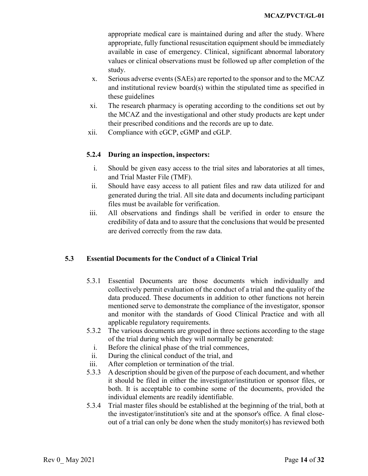appropriate medical care is maintained during and after the study. Where appropriate, fully functional resuscitation equipment should be immediately available in case of emergency. Clinical, significant abnormal laboratory values or clinical observations must be followed up after completion of the study.

- x. Serious adverse events (SAEs) are reported to the sponsor and to the MCAZ and institutional review board(s) within the stipulated time as specified in these guidelines
- xi. The research pharmacy is operating according to the conditions set out by the MCAZ and the investigational and other study products are kept under their prescribed conditions and the records are up to date.
- xii. Compliance with cGCP, cGMP and cGLP.

## **5.2.4 During an inspection, inspectors:**

- i. Should be given easy access to the trial sites and laboratories at all times, and Trial Master File (TMF).
- ii. Should have easy access to all patient files and raw data utilized for and generated during the trial. All site data and documents including participant files must be available for verification.
- iii. All observations and findings shall be verified in order to ensure the credibility of data and to assure that the conclusions that would be presented are derived correctly from the raw data.

## <span id="page-13-0"></span>**5.3 Essential Documents for the Conduct of a Clinical Trial**

- 5.3.1 Essential Documents are those documents which individually and collectively permit evaluation of the conduct of a trial and the quality of the data produced. These documents in addition to other functions not herein mentioned serve to demonstrate the compliance of the investigator, sponsor and monitor with the standards of Good Clinical Practice and with all applicable regulatory requirements.
- 5.3.2 The various documents are grouped in three sections according to the stage of the trial during which they will normally be generated:
	- i. Before the clinical phase of the trial commences,
	- ii. During the clinical conduct of the trial, and
- iii. After completion or termination of the trial.
- 5.3.3 A description should be given of the purpose of each document, and whether it should be filed in either the investigator/institution or sponsor files, or both. It is acceptable to combine some of the documents, provided the individual elements are readily identifiable.
- 5.3.4 Trial master files should be established at the beginning of the trial, both at the investigator/institution's site and at the sponsor's office. A final closeout of a trial can only be done when the study monitor(s) has reviewed both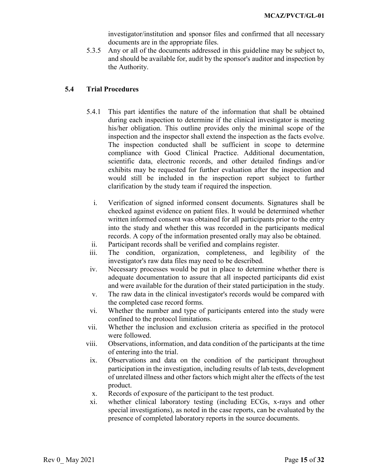investigator/institution and sponsor files and confirmed that all necessary documents are in the appropriate files.

5.3.5 Any or all of the documents addressed in this guideline may be subject to, and should be available for, audit by the sponsor's auditor and inspection by the Authority.

### <span id="page-14-0"></span>**5.4 Trial Procedures**

- 5.4.1 This part identifies the nature of the information that shall be obtained during each inspection to determine if the clinical investigator is meeting his/her obligation. This outline provides only the minimal scope of the inspection and the inspector shall extend the inspection as the facts evolve. The inspection conducted shall be sufficient in scope to determine compliance with Good Clinical Practice. Additional documentation, scientific data, electronic records, and other detailed findings and/or exhibits may be requested for further evaluation after the inspection and would still be included in the inspection report subject to further clarification by the study team if required the inspection.
	- i. Verification of signed informed consent documents. Signatures shall be checked against evidence on patient files. It would be determined whether written informed consent was obtained for all participants prior to the entry into the study and whether this was recorded in the participants medical records. A copy of the information presented orally may also be obtained.
	- ii. Participant records shall be verified and complains register.
- iii. The condition, organization, completeness, and legibility of the investigator's raw data files may need to be described.
- iv. Necessary processes would be put in place to determine whether there is adequate documentation to assure that all inspected participants did exist and were available for the duration of their stated participation in the study.
- v. The raw data in the clinical investigator's records would be compared with the completed case record forms.
- vi. Whether the number and type of participants entered into the study were confined to the protocol limitations.
- vii. Whether the inclusion and exclusion criteria as specified in the protocol were followed.
- viii. Observations, information, and data condition of the participants at the time of entering into the trial.
	- ix. Observations and data on the condition of the participant throughout participation in the investigation, including results of lab tests, development of unrelated illness and other factors which might alter the effects of the test product.
	- x. Records of exposure of the participant to the test product.
	- xi. whether clinical laboratory testing (including ECGs, x-rays and other special investigations), as noted in the case reports, can be evaluated by the presence of completed laboratory reports in the source documents.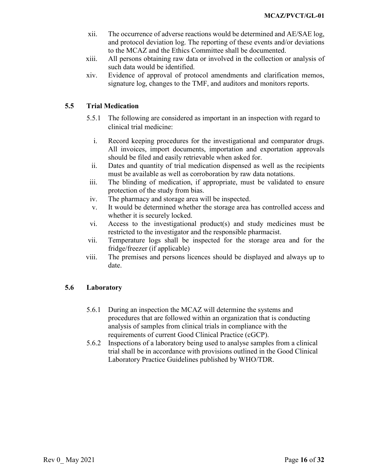- xii. The occurrence of adverse reactions would be determined and AE/SAE log, and protocol deviation log. The reporting of these events and/or deviations to the MCAZ and the Ethics Committee shall be documented.
- xiii. All persons obtaining raw data or involved in the collection or analysis of such data would be identified.
- xiv. Evidence of approval of protocol amendments and clarification memos, signature log, changes to the TMF, and auditors and monitors reports.

### <span id="page-15-0"></span>**5.5 Trial Medication**

- 5.5.1 The following are considered as important in an inspection with regard to clinical trial medicine:
	- i. Record keeping procedures for the investigational and comparator drugs. All invoices, import documents, importation and exportation approvals should be filed and easily retrievable when asked for.
	- ii. Dates and quantity of trial medication dispensed as well as the recipients must be available as well as corroboration by raw data notations.
- iii. The blinding of medication, if appropriate, must be validated to ensure protection of the study from bias.
- iv. The pharmacy and storage area will be inspected.
- v. It would be determined whether the storage area has controlled access and whether it is securely locked.
- vi. Access to the investigational product(s) and study medicines must be restricted to the investigator and the responsible pharmacist.
- vii. Temperature logs shall be inspected for the storage area and for the fridge/freezer (if applicable)
- viii. The premises and persons licences should be displayed and always up to date.

### <span id="page-15-1"></span>**5.6 Laboratory**

- 5.6.1 During an inspection the MCAZ will determine the systems and procedures that are followed within an organization that is conducting analysis of samples from clinical trials in compliance with the requirements of current Good Clinical Practice (cGCP).
- 5.6.2 Inspections of a laboratory being used to analyse samples from a clinical trial shall be in accordance with provisions outlined in the Good Clinical Laboratory Practice Guidelines published by WHO/TDR.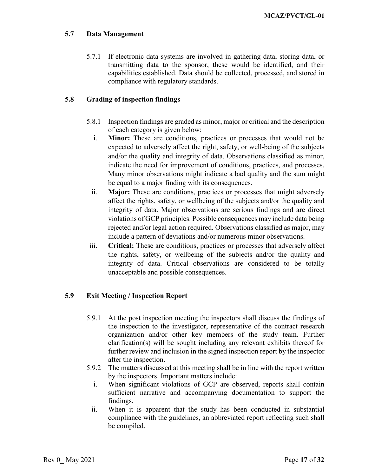## <span id="page-16-0"></span>**5.7 Data Management**

5.7.1 If electronic data systems are involved in gathering data, storing data, or transmitting data to the sponsor, these would be identified, and their capabilities established. Data should be collected, processed, and stored in compliance with regulatory standards.

## <span id="page-16-1"></span>**5.8 Grading of inspection findings**

- 5.8.1 Inspection findings are graded as minor, major or critical and the description of each category is given below:
	- i. **Minor:** These are conditions, practices or processes that would not be expected to adversely affect the right, safety, or well-being of the subjects and/or the quality and integrity of data. Observations classified as minor, indicate the need for improvement of conditions, practices, and processes. Many minor observations might indicate a bad quality and the sum might be equal to a major finding with its consequences.
	- ii. **Major:** These are conditions, practices or processes that might adversely affect the rights, safety, or wellbeing of the subjects and/or the quality and integrity of data. Major observations are serious findings and are direct violations of GCP principles. Possible consequences may include data being rejected and/or legal action required. Observations classified as major, may include a pattern of deviations and/or numerous minor observations.
- iii. **Critical:** These are conditions, practices or processes that adversely affect the rights, safety, or wellbeing of the subjects and/or the quality and integrity of data. Critical observations are considered to be totally unacceptable and possible consequences.

## <span id="page-16-2"></span>**5.9 Exit Meeting / Inspection Report**

- 5.9.1 At the post inspection meeting the inspectors shall discuss the findings of the inspection to the investigator, representative of the contract research organization and/or other key members of the study team. Further clarification(s) will be sought including any relevant exhibits thereof for further review and inclusion in the signed inspection report by the inspector after the inspection.
- 5.9.2 The matters discussed at this meeting shall be in line with the report written by the inspectors. Important matters include:
	- i. When significant violations of GCP are observed, reports shall contain sufficient narrative and accompanying documentation to support the findings.
	- ii. When it is apparent that the study has been conducted in substantial compliance with the guidelines, an abbreviated report reflecting such shall be compiled.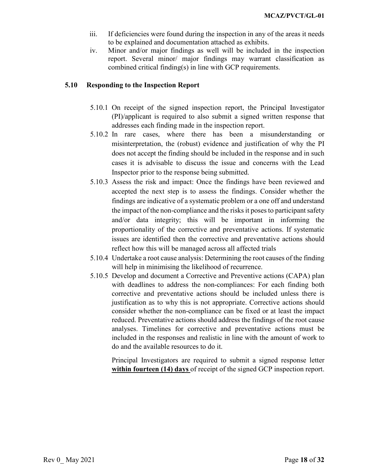- iii. If deficiencies were found during the inspection in any of the areas it needs to be explained and documentation attached as exhibits.
- iv. Minor and/or major findings as well will be included in the inspection report. Several minor/ major findings may warrant classification as combined critical finding(s) in line with GCP requirements.

#### <span id="page-17-0"></span>**5.10 Responding to the Inspection Report**

- 5.10.1 On receipt of the signed inspection report, the Principal Investigator (PI)/applicant is required to also submit a signed written response that addresses each finding made in the inspection report.
- 5.10.2 In rare cases, where there has been a misunderstanding or misinterpretation, the (robust) evidence and justification of why the PI does not accept the finding should be included in the response and in such cases it is advisable to discuss the issue and concerns with the Lead Inspector prior to the response being submitted.
- 5.10.3 Assess the risk and impact: Once the findings have been reviewed and accepted the next step is to assess the findings. Consider whether the findings are indicative of a systematic problem or a one off and understand the impact of the non-compliance and the risks it poses to participant safety and/or data integrity; this will be important in informing the proportionality of the corrective and preventative actions. If systematic issues are identified then the corrective and preventative actions should reflect how this will be managed across all affected trials
- 5.10.4 Undertake a root cause analysis: Determining the root causes of the finding will help in minimising the likelihood of recurrence.
- 5.10.5 Develop and document a Corrective and Preventive actions (CAPA) plan with deadlines to address the non-compliances: For each finding both corrective and preventative actions should be included unless there is justification as to why this is not appropriate. Corrective actions should consider whether the non-compliance can be fixed or at least the impact reduced. Preventative actions should address the findings of the root cause analyses. Timelines for corrective and preventative actions must be included in the responses and realistic in line with the amount of work to do and the available resources to do it.

Principal Investigators are required to submit a signed response letter **within fourteen (14) days** of receipt of the signed GCP inspection report.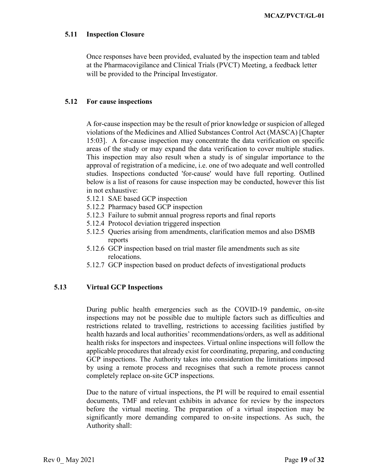#### <span id="page-18-0"></span>**5.11 Inspection Closure**

Once responses have been provided, evaluated by the inspection team and tabled at the Pharmacovigilance and Clinical Trials (PVCT) Meeting, a feedback letter will be provided to the Principal Investigator.

#### <span id="page-18-1"></span>**5.12 For cause inspections**

A for-cause inspection may be the result of prior knowledge or suspicion of alleged violations of the Medicines and Allied Substances Control Act (MASCA) [Chapter 15:03]. A for-cause inspection may concentrate the data verification on specific areas of the study or may expand the data verification to cover multiple studies. This inspection may also result when a study is of singular importance to the approval of registration of a medicine, i.e. one of two adequate and well controlled studies. Inspections conducted 'for-cause' would have full reporting. Outlined below is a list of reasons for cause inspection may be conducted, however this list in not exhaustive:

- 5.12.1 SAE based GCP inspection
- 5.12.2 Pharmacy based GCP inspection
- 5.12.3 Failure to submit annual progress reports and final reports
- 5.12.4 Protocol deviation triggered inspection
- 5.12.5 Queries arising from amendments, clarification memos and also DSMB reports
- 5.12.6 GCP inspection based on trial master file amendments such as site relocations.
- 5.12.7 GCP inspection based on product defects of investigational products

#### <span id="page-18-2"></span>**5.13 Virtual GCP Inspections**

During public health emergencies such as the COVID-19 pandemic, on-site inspections may not be possible due to multiple factors such as difficulties and restrictions related to travelling, restrictions to accessing facilities justified by health hazards and local authorities' recommendations/orders, as well as additional health risks for inspectors and inspectees. Virtual online inspections will follow the applicable procedures that already exist for coordinating, preparing, and conducting GCP inspections. The Authority takes into consideration the limitations imposed by using a remote process and recognises that such a remote process cannot completely replace on-site GCP inspections.

Due to the nature of virtual inspections, the PI will be required to email essential documents, TMF and relevant exhibits in advance for review by the inspectors before the virtual meeting. The preparation of a virtual inspection may be significantly more demanding compared to on-site inspections. As such, the Authority shall: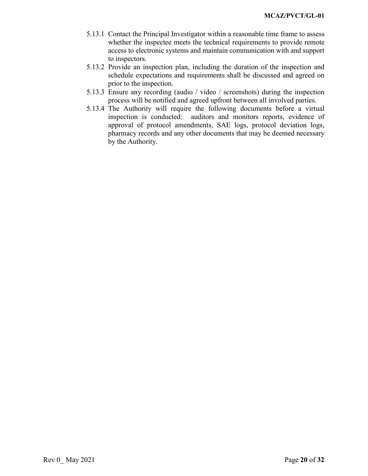- 5.13.1 Contact the Principal Investigator within a reasonable time frame to assess whether the inspectee meets the technical requirements to provide remote access to electronic systems and maintain communication with and support to inspectors.
- 5.13.2 Provide an inspection plan, including the duration of the inspection and schedule expectations and requirements shall be discussed and agreed on prior to the inspection.
- 5.13.3 Ensure any recording (audio / video / screenshots) during the inspection process will be notified and agreed upfront between all involved parties.
- 5.13.4 The Authority will require the following documents before a virtual inspection is conducted: auditors and monitors reports, evidence of approval of protocol amendments, SAE logs, protocol deviation logs, pharmacy records and any other documents that may be deemed necessary by the Authority.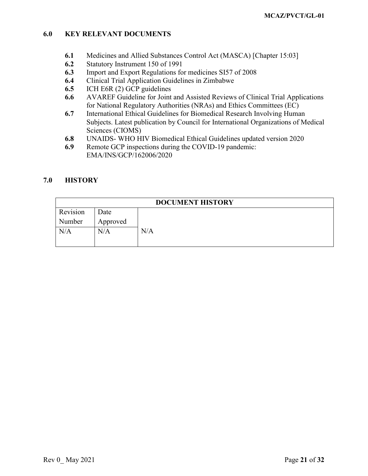### <span id="page-20-0"></span>**6.0 KEY RELEVANT DOCUMENTS**

- **6.1** Medicines and Allied Substances Control Act (MASCA) [Chapter 15:03]
- **6.2** Statutory Instrument 150 of 1991
- **6.3** Import and Export Regulations for medicines SI57 of 2008
- **6.4** Clinical Trial Application Guidelines in Zimbabwe
- **6.5** ICH E6R (2) GCP guidelines
- **6.6** AVAREF Guideline for Joint and Assisted Reviews of Clinical Trial Applications for National Regulatory Authorities (NRAs) and Ethics Committees (EC)
- **6.7** International Ethical Guidelines for Biomedical Research Involving Human Subjects. Latest publication by Council for International Organizations of Medical Sciences (CIOMS)
- **6.8** UNAIDS- WHO HIV Biomedical Ethical Guidelines updated version 2020
- **6.9** Remote GCP inspections during the COVID-19 pandemic: EMA/INS/GCP/162006/2020

### <span id="page-20-1"></span>**7.0 HISTORY**

| <b>DOCUMENT HISTORY</b> |          |     |  |  |
|-------------------------|----------|-----|--|--|
| Revision                | Date     |     |  |  |
| Number                  | Approved |     |  |  |
| N/A                     | N/A      | N/A |  |  |
|                         |          |     |  |  |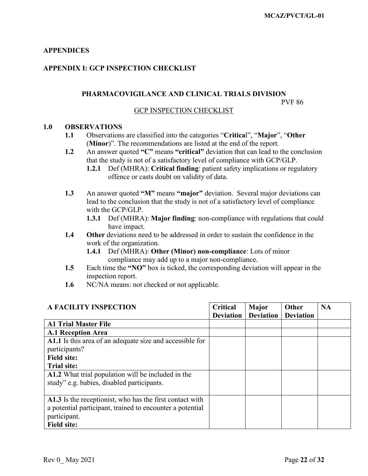## <span id="page-21-0"></span>**APPENDICES**

## <span id="page-21-1"></span>**APPENDIX I: GCP INSPECTION CHECKLIST**

## **PHARMACOVIGILANCE AND CLINICAL TRIALS DIVISION**

PVF 86

#### GCP INSPECTION CHECKLIST

#### **1.0 OBSERVATIONS**

- **1.1** Observations are classified into the categories "**Critica**l", "**Major**", "**Other** (**Minor**)". The recommendations are listed at the end of the report.
- **1.2** An answer quoted **"C"** means **"critical"** deviation that can lead to the conclusion that the study is not of a satisfactory level of compliance with GCP/GLP.
	- **1.2.1** Def (MHRA): **Critical finding**: patient safety implications or regulatory offence or casts doubt on validity of data.
- **1.3** An answer quoted **"M"** means **"major"** deviation. Several major deviations can lead to the conclusion that the study is not of a satisfactory level of compliance with the GCP/GLP.
	- **1.3.1** Def (MHRA): **Major finding**: non-compliance with regulations that could have impact.
- **1.4 Other** deviations need to be addressed in order to sustain the confidence in the work of the organization.
	- **1.4.1** Def (MHRA): **Other (Minor) non-compliance**: Lots of minor compliance may add up to a major non-compliance.
- **1.5** Each time the **"NO"** box is ticked, the corresponding deviation will appear in the inspection report.
- **1.6** NC/NA means: not checked or not applicable.

| <b>A FACILITY INSPECTION</b>                              | <b>Critical</b>  | Major            | Other            | <b>NA</b> |
|-----------------------------------------------------------|------------------|------------------|------------------|-----------|
|                                                           | <b>Deviation</b> | <b>Deviation</b> | <b>Deviation</b> |           |
| <b>A1 Trial Master File</b>                               |                  |                  |                  |           |
| <b>A.1 Reception Area</b>                                 |                  |                  |                  |           |
| A1.1 Is this area of an adequate size and accessible for  |                  |                  |                  |           |
| participants?                                             |                  |                  |                  |           |
| <b>Field site:</b>                                        |                  |                  |                  |           |
| <b>Trial site:</b>                                        |                  |                  |                  |           |
| A1.2 What trial population will be included in the        |                  |                  |                  |           |
| study" e.g. babies, disabled participants.                |                  |                  |                  |           |
|                                                           |                  |                  |                  |           |
| A1.3 Is the receptionist, who has the first contact with  |                  |                  |                  |           |
| a potential participant, trained to encounter a potential |                  |                  |                  |           |
| participant.                                              |                  |                  |                  |           |
| <b>Field site:</b>                                        |                  |                  |                  |           |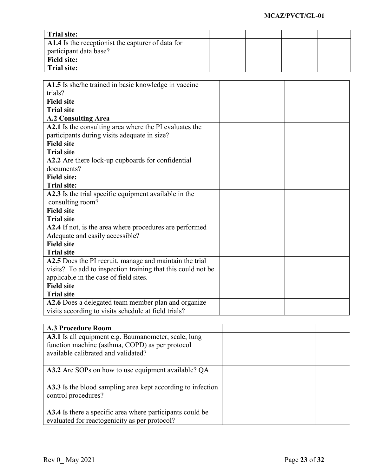| <b>Trial site:</b>                                |  |  |
|---------------------------------------------------|--|--|
| A1.4 Is the receptionist the capturer of data for |  |  |
| participant data base?                            |  |  |
| <b>Field site:</b>                                |  |  |
| <b>Trial site:</b>                                |  |  |

| A1.5 Is she/he trained in basic knowledge in vaccine         |  |  |
|--------------------------------------------------------------|--|--|
| trials?                                                      |  |  |
| <b>Field site</b>                                            |  |  |
| <b>Trial site</b>                                            |  |  |
| <b>A.2 Consulting Area</b>                                   |  |  |
| A2.1 Is the consulting area where the PI evaluates the       |  |  |
| participants during visits adequate in size?                 |  |  |
| <b>Field site</b>                                            |  |  |
| <b>Trial site</b>                                            |  |  |
| A2.2 Are there lock-up cupboards for confidential            |  |  |
| documents?                                                   |  |  |
| <b>Field site:</b>                                           |  |  |
| <b>Trial site:</b>                                           |  |  |
| A2.3 Is the trial specific equipment available in the        |  |  |
| consulting room?                                             |  |  |
| <b>Field site</b>                                            |  |  |
| <b>Trial site</b>                                            |  |  |
| A2.4 If not, is the area where procedures are performed      |  |  |
| Adequate and easily accessible?                              |  |  |
| <b>Field site</b>                                            |  |  |
| <b>Trial site</b>                                            |  |  |
| A2.5 Does the PI recruit, manage and maintain the trial      |  |  |
| visits? To add to inspection training that this could not be |  |  |
| applicable in the case of field sites.                       |  |  |
| <b>Field site</b>                                            |  |  |
| <b>Trial site</b>                                            |  |  |
| A2.6 Does a delegated team member plan and organize          |  |  |
| visits according to visits schedule at field trials?         |  |  |
|                                                              |  |  |

| <b>A.3 Procedure Room</b>                                   |  |  |
|-------------------------------------------------------------|--|--|
| A3.1 Is all equipment e.g. Baumanometer, scale, lung        |  |  |
| function machine (asthma, COPD) as per protocol             |  |  |
| available calibrated and validated?                         |  |  |
|                                                             |  |  |
| A3.2 Are SOPs on how to use equipment available? OA         |  |  |
|                                                             |  |  |
| A3.3 Is the blood sampling area kept according to infection |  |  |
| control procedures?                                         |  |  |
|                                                             |  |  |
| A3.4 Is there a specific area where participants could be   |  |  |
| evaluated for reactogenicity as per protocol?               |  |  |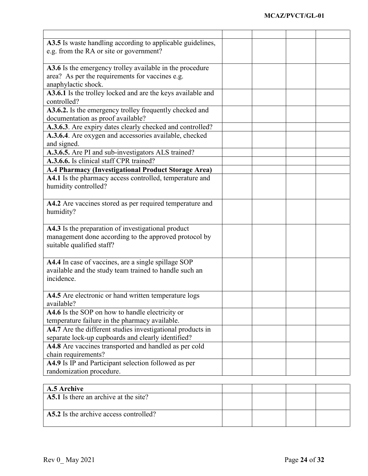| A3.5 Is waste handling according to applicable guidelines,                                                   |  |  |
|--------------------------------------------------------------------------------------------------------------|--|--|
| e.g. from the RA or site or government?                                                                      |  |  |
|                                                                                                              |  |  |
| A3.6 Is the emergency trolley available in the procedure                                                     |  |  |
| area? As per the requirements for vaccines e.g.                                                              |  |  |
| anaphylactic shock.                                                                                          |  |  |
| A3.6.1 Is the trolley locked and are the keys available and                                                  |  |  |
| controlled?                                                                                                  |  |  |
| A3.6.2. Is the emergency trolley frequently checked and                                                      |  |  |
| documentation as proof available?                                                                            |  |  |
| A.3.6.3. Are expiry dates clearly checked and controlled?                                                    |  |  |
| A.3.6.4. Are oxygen and accessories available, checked                                                       |  |  |
| and signed.                                                                                                  |  |  |
| A.3.6.5. Are PI and sub-investigators ALS trained?                                                           |  |  |
| A.3.6.6. Is clinical staff CPR trained?                                                                      |  |  |
| A.4 Pharmacy (Investigational Product Storage Area)                                                          |  |  |
| A4.1 Is the pharmacy access controlled, temperature and                                                      |  |  |
| humidity controlled?                                                                                         |  |  |
|                                                                                                              |  |  |
| A4.2 Are vaccines stored as per required temperature and                                                     |  |  |
| humidity?                                                                                                    |  |  |
|                                                                                                              |  |  |
| A4.3 Is the preparation of investigational product                                                           |  |  |
| management done according to the approved protocol by                                                        |  |  |
| suitable qualified staff?                                                                                    |  |  |
|                                                                                                              |  |  |
| A4.4 In case of vaccines, are a single spillage SOP                                                          |  |  |
| available and the study team trained to handle such an                                                       |  |  |
| incidence.                                                                                                   |  |  |
|                                                                                                              |  |  |
| A4.5 Are electronic or hand written temperature logs<br>available?                                           |  |  |
| A4.6 Is the SOP on how to handle electricity or                                                              |  |  |
|                                                                                                              |  |  |
| temperature failure in the pharmacy available.<br>A4.7 Are the different studies investigational products in |  |  |
|                                                                                                              |  |  |
| separate lock-up cupboards and clearly identified?                                                           |  |  |
| A4.8 Are vaccines transported and handled as per cold                                                        |  |  |
| chain requirements?<br>A4.9 Is IP and Participant selection followed as per                                  |  |  |
|                                                                                                              |  |  |
| randomization procedure.                                                                                     |  |  |
|                                                                                                              |  |  |
| A.5 Archive<br>A5.1 Is there an archive at the site?                                                         |  |  |
|                                                                                                              |  |  |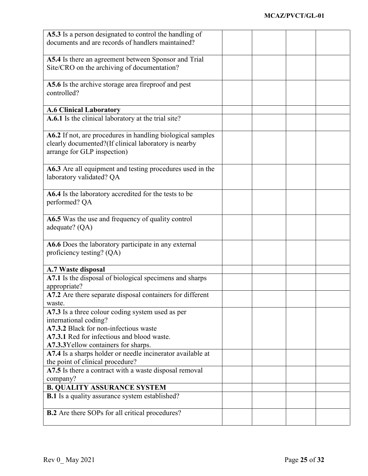| A5.3 Is a person designated to control the handling of     |  |  |
|------------------------------------------------------------|--|--|
| documents and are records of handlers maintained?          |  |  |
|                                                            |  |  |
|                                                            |  |  |
| A5.4 Is there an agreement between Sponsor and Trial       |  |  |
| Site/CRO on the archiving of documentation?                |  |  |
|                                                            |  |  |
| A5.6 Is the archive storage area fireproof and pest        |  |  |
| controlled?                                                |  |  |
|                                                            |  |  |
|                                                            |  |  |
| <b>A.6 Clinical Laboratory</b>                             |  |  |
| A.6.1 Is the clinical laboratory at the trial site?        |  |  |
|                                                            |  |  |
| A6.2 If not, are procedures in handling biological samples |  |  |
| clearly documented?(If clinical laboratory is nearby       |  |  |
|                                                            |  |  |
| arrange for GLP inspection)                                |  |  |
|                                                            |  |  |
| A6.3 Are all equipment and testing procedures used in the  |  |  |
| laboratory validated? QA                                   |  |  |
|                                                            |  |  |
| A6.4 Is the laboratory accredited for the tests to be      |  |  |
|                                                            |  |  |
| performed? QA                                              |  |  |
|                                                            |  |  |
| A6.5 Was the use and frequency of quality control          |  |  |
| adequate? $(QA)$                                           |  |  |
|                                                            |  |  |
| A6.6 Does the laboratory participate in any external       |  |  |
| proficiency testing? (QA)                                  |  |  |
|                                                            |  |  |
|                                                            |  |  |
| A.7 Waste disposal                                         |  |  |
| A7.1 Is the disposal of biological specimens and sharps    |  |  |
| appropriate?                                               |  |  |
| A7.2 Are there separate disposal containers for different  |  |  |
| waste.                                                     |  |  |
|                                                            |  |  |
| A7.3 Is a three colour coding system used as per           |  |  |
| international coding?                                      |  |  |
| A7.3.2 Black for non-infectious waste                      |  |  |
| A7.3.1 Red for infectious and blood waste.                 |  |  |
| A7.3.3 Yellow containers for sharps.                       |  |  |
| A7.4 Is a sharps holder or needle incinerator available at |  |  |
| the point of clinical procedure?                           |  |  |
|                                                            |  |  |
| A7.5 Is there a contract with a waste disposal removal     |  |  |
| company?                                                   |  |  |
| <b>B. QUALITY ASSURANCE SYSTEM</b>                         |  |  |
| <b>B.1</b> Is a quality assurance system established?      |  |  |
|                                                            |  |  |
| <b>B.2</b> Are there SOPs for all critical procedures?     |  |  |
|                                                            |  |  |
|                                                            |  |  |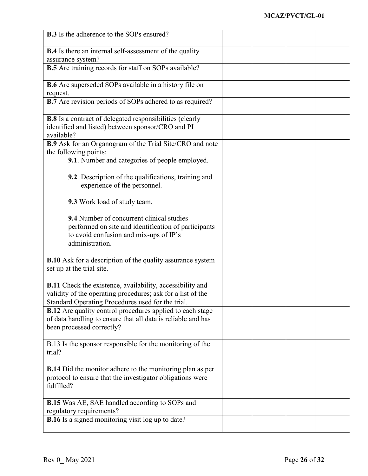| <b>B.3</b> Is the adherence to the SOPs ensured?                                               |  |  |
|------------------------------------------------------------------------------------------------|--|--|
|                                                                                                |  |  |
| <b>B.4</b> Is there an internal self-assessment of the quality<br>assurance system?            |  |  |
| <b>B.5</b> Are training records for staff on SOPs available?                                   |  |  |
|                                                                                                |  |  |
| B.6 Are superseded SOPs available in a history file on                                         |  |  |
| request.                                                                                       |  |  |
| <b>B.7</b> Are revision periods of SOPs adhered to as required?                                |  |  |
| <b>B.8</b> Is a contract of delegated responsibilities (clearly                                |  |  |
| identified and listed) between sponsor/CRO and PI                                              |  |  |
| available?                                                                                     |  |  |
| B.9 Ask for an Organogram of the Trial Site/CRO and note<br>the following points:              |  |  |
| 9.1. Number and categories of people employed.                                                 |  |  |
|                                                                                                |  |  |
| <b>9.2.</b> Description of the qualifications, training and                                    |  |  |
| experience of the personnel.                                                                   |  |  |
|                                                                                                |  |  |
| 9.3 Work load of study team.                                                                   |  |  |
| 9.4 Number of concurrent clinical studies                                                      |  |  |
| performed on site and identification of participants                                           |  |  |
| to avoid confusion and mix-ups of IP's                                                         |  |  |
| administration.                                                                                |  |  |
|                                                                                                |  |  |
| <b>B.10</b> Ask for a description of the quality assurance system<br>set up at the trial site. |  |  |
|                                                                                                |  |  |
| <b>B.11</b> Check the existence, availability, accessibility and                               |  |  |
| validity of the operating procedures; ask for a list of the                                    |  |  |
| Standard Operating Procedures used for the trial.                                              |  |  |
| <b>B.12</b> Are quality control procedures applied to each stage                               |  |  |
| of data handling to ensure that all data is reliable and has<br>been processed correctly?      |  |  |
|                                                                                                |  |  |
| B.13 Is the sponsor responsible for the monitoring of the                                      |  |  |
| trial?                                                                                         |  |  |
|                                                                                                |  |  |
| <b>B.14</b> Did the monitor adhere to the monitoring plan as per                               |  |  |
| protocol to ensure that the investigator obligations were<br>fulfilled?                        |  |  |
|                                                                                                |  |  |
| <b>B.15</b> Was AE, SAE handled according to SOPs and                                          |  |  |
| regulatory requirements?                                                                       |  |  |
| <b>B.16</b> Is a signed monitoring visit log up to date?                                       |  |  |
|                                                                                                |  |  |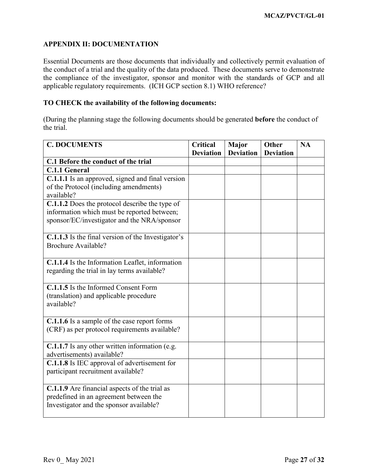## <span id="page-26-0"></span>**APPENDIX II: DOCUMENTATION**

Essential Documents are those documents that individually and collectively permit evaluation of the conduct of a trial and the quality of the data produced. These documents serve to demonstrate the compliance of the investigator, sponsor and monitor with the standards of GCP and all applicable regulatory requirements. (ICH GCP section 8.1) WHO reference?

#### **TO CHECK the availability of the following documents:**

(During the planning stage the following documents should be generated **before** the conduct of the trial.

| <b>C. DOCUMENTS</b>                                   | <b>Critical</b>  | Major            | <b>Other</b>     | <b>NA</b> |
|-------------------------------------------------------|------------------|------------------|------------------|-----------|
|                                                       | <b>Deviation</b> | <b>Deviation</b> | <b>Deviation</b> |           |
| C.1 Before the conduct of the trial                   |                  |                  |                  |           |
| <b>C.1.1 General</b>                                  |                  |                  |                  |           |
| C.1.1.1 Is an approved, signed and final version      |                  |                  |                  |           |
| of the Protocol (including amendments)                |                  |                  |                  |           |
| available?                                            |                  |                  |                  |           |
| <b>C.1.1.2</b> Does the protocol describe the type of |                  |                  |                  |           |
| information which must be reported between;           |                  |                  |                  |           |
| sponsor/EC/investigator and the NRA/sponsor           |                  |                  |                  |           |
|                                                       |                  |                  |                  |           |
| C.1.1.3 Is the final version of the Investigator's    |                  |                  |                  |           |
| <b>Brochure Available?</b>                            |                  |                  |                  |           |
|                                                       |                  |                  |                  |           |
| C.1.1.4 Is the Information Leaflet, information       |                  |                  |                  |           |
| regarding the trial in lay terms available?           |                  |                  |                  |           |
|                                                       |                  |                  |                  |           |
| C.1.1.5 Is the Informed Consent Form                  |                  |                  |                  |           |
| (translation) and applicable procedure                |                  |                  |                  |           |
| available?                                            |                  |                  |                  |           |
|                                                       |                  |                  |                  |           |
| C.1.1.6 Is a sample of the case report forms          |                  |                  |                  |           |
| (CRF) as per protocol requirements available?         |                  |                  |                  |           |
|                                                       |                  |                  |                  |           |
| C.1.1.7 Is any other written information (e.g.        |                  |                  |                  |           |
| advertisements) available?                            |                  |                  |                  |           |
| <b>C.1.1.8</b> Is IEC approval of advertisement for   |                  |                  |                  |           |
| participant recruitment available?                    |                  |                  |                  |           |
|                                                       |                  |                  |                  |           |
| C.1.1.9 Are financial aspects of the trial as         |                  |                  |                  |           |
| predefined in an agreement between the                |                  |                  |                  |           |
| Investigator and the sponsor available?               |                  |                  |                  |           |
|                                                       |                  |                  |                  |           |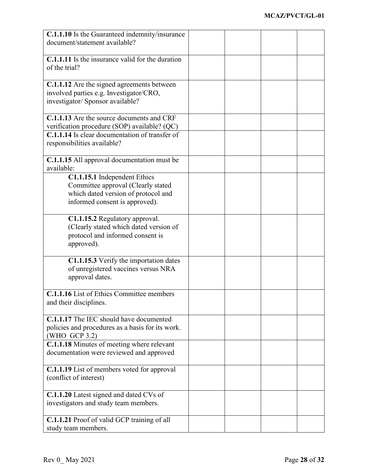| C.1.1.10 Is the Guaranteed indemnity/insurance          |  |  |
|---------------------------------------------------------|--|--|
| document/statement available?                           |  |  |
|                                                         |  |  |
| <b>C.1.1.11</b> Is the insurance valid for the duration |  |  |
| of the trial?                                           |  |  |
|                                                         |  |  |
| <b>C.1.1.12</b> Are the signed agreements between       |  |  |
| involved parties e.g. Investigator/CRO,                 |  |  |
|                                                         |  |  |
| investigator/ Sponsor available?                        |  |  |
|                                                         |  |  |
| C.1.1.13 Are the source documents and CRF               |  |  |
| verification procedure (SOP) available? (QC)            |  |  |
| C.1.1.14 Is clear documentation of transfer of          |  |  |
| responsibilities available?                             |  |  |
|                                                         |  |  |
| C.1.1.15 All approval documentation must be             |  |  |
| available:                                              |  |  |
| C1.1.15.1 Independent Ethics                            |  |  |
| Committee approval (Clearly stated                      |  |  |
| which dated version of protocol and                     |  |  |
| informed consent is approved).                          |  |  |
|                                                         |  |  |
| C1.1.15.2 Regulatory approval.                          |  |  |
|                                                         |  |  |
| (Clearly stated which dated version of                  |  |  |
| protocol and informed consent is                        |  |  |
| approved).                                              |  |  |
|                                                         |  |  |
| C1.1.15.3 Verify the importation dates                  |  |  |
| of unregistered vaccines versus NRA                     |  |  |
| approval dates.                                         |  |  |
|                                                         |  |  |
| <b>C.1.1.16</b> List of Ethics Committee members        |  |  |
| and their disciplines.                                  |  |  |
|                                                         |  |  |
| C.1.1.17 The IEC should have documented                 |  |  |
| policies and procedures as a basis for its work.        |  |  |
| (WHO GCP 3.2)                                           |  |  |
| C.1.1.18 Minutes of meeting where relevant              |  |  |
|                                                         |  |  |
| documentation were reviewed and approved                |  |  |
|                                                         |  |  |
| C.1.1.19 List of members voted for approval             |  |  |
| (conflict of interest)                                  |  |  |
|                                                         |  |  |
| C.1.1.20 Latest signed and dated CVs of                 |  |  |
| investigators and study team members.                   |  |  |
|                                                         |  |  |
| C.1.1.21 Proof of valid GCP training of all             |  |  |
| study team members.                                     |  |  |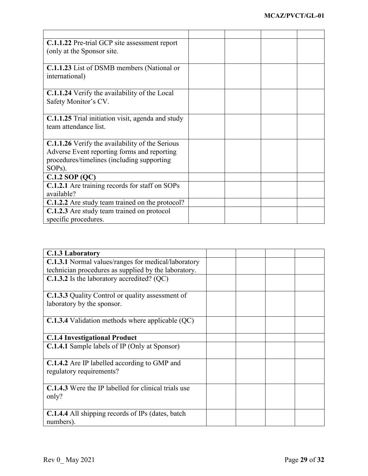| C.1.1.22 Pre-trial GCP site assessment report          |  |  |
|--------------------------------------------------------|--|--|
| (only at the Sponsor site.)                            |  |  |
|                                                        |  |  |
| C.1.1.23 List of DSMB members (National or             |  |  |
| international)                                         |  |  |
|                                                        |  |  |
| <b>C.1.1.24</b> Verify the availability of the Local   |  |  |
| Safety Monitor's CV.                                   |  |  |
|                                                        |  |  |
| C.1.1.25 Trial initiation visit, agenda and study      |  |  |
| team attendance list.                                  |  |  |
|                                                        |  |  |
| <b>C.1.1.26</b> Verify the availability of the Serious |  |  |
| Adverse Event reporting forms and reporting            |  |  |
| procedures/timelines (including supporting             |  |  |
| SOP <sub>s</sub> ).                                    |  |  |
| $C.1.2$ SOP (QC)                                       |  |  |
| C.1.2.1 Are training records for staff on SOPs         |  |  |
| available?                                             |  |  |
| C.1.2.2 Are study team trained on the protocol?        |  |  |
| C.1.2.3 Are study team trained on protocol             |  |  |
| specific procedures.                                   |  |  |

| C.1.3 Laboratory                                            |  |  |
|-------------------------------------------------------------|--|--|
| <b>C.1.3.1</b> Normal values/ranges for medical/laboratory  |  |  |
| technician procedures as supplied by the laboratory.        |  |  |
| C.1.3.2 Is the laboratory accredited? (QC)                  |  |  |
| <b>C.1.3.3</b> Quality Control or quality assessment of     |  |  |
| laboratory by the sponsor.                                  |  |  |
| $C.1.3.4$ Validation methods where applicable $(QC)$        |  |  |
| <b>C.1.4 Investigational Product</b>                        |  |  |
| <b>C.1.4.1</b> Sample labels of IP (Only at Sponsor)        |  |  |
| <b>C.1.4.2</b> Are IP labelled according to GMP and         |  |  |
| regulatory requirements?                                    |  |  |
| <b>C.1.4.3</b> Were the IP labelled for clinical trials use |  |  |
| only?                                                       |  |  |
|                                                             |  |  |
| <b>C.1.4.4</b> All shipping records of IPs (dates, batch    |  |  |
| numbers).                                                   |  |  |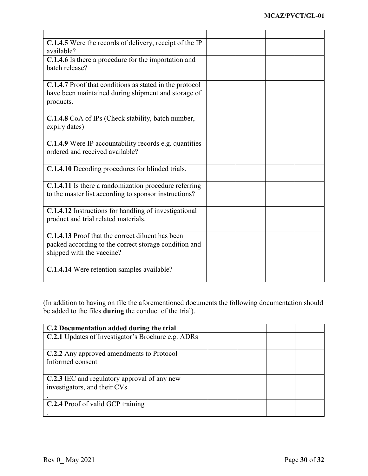| <b>C.1.4.5</b> Were the records of delivery, receipt of the IP<br>available?                                                           |  |  |
|----------------------------------------------------------------------------------------------------------------------------------------|--|--|
| C.1.4.6 Is there a procedure for the importation and<br>batch release?                                                                 |  |  |
| C.1.4.7 Proof that conditions as stated in the protocol<br>have been maintained during shipment and storage of<br>products.            |  |  |
| C.1.4.8 CoA of IPs (Check stability, batch number,<br>expiry dates)                                                                    |  |  |
| <b>C.1.4.9</b> Were IP accountability records e.g. quantities<br>ordered and received available?                                       |  |  |
| <b>C.1.4.10</b> Decoding procedures for blinded trials.                                                                                |  |  |
| <b>C.1.4.11</b> Is there a randomization procedure referring<br>to the master list according to sponsor instructions?                  |  |  |
| C.1.4.12 Instructions for handling of investigational<br>product and trial related materials.                                          |  |  |
| C.1.4.13 Proof that the correct diluent has been<br>packed according to the correct storage condition and<br>shipped with the vaccine? |  |  |
| C.1.4.14 Were retention samples available?                                                                                             |  |  |

(In addition to having on file the aforementioned documents the following documentation should be added to the files **during** the conduct of the trial).

| C.2 Documentation added during the trial           |  |  |
|----------------------------------------------------|--|--|
| C.2.1 Updates of Investigator's Brochure e.g. ADRs |  |  |
| C.2.2 Any approved amendments to Protocol          |  |  |
| Informed consent                                   |  |  |
|                                                    |  |  |
| C.2.3 IEC and regulatory approval of any new       |  |  |
| investigators, and their CVs                       |  |  |
|                                                    |  |  |
| <b>C.2.4</b> Proof of valid GCP training           |  |  |
|                                                    |  |  |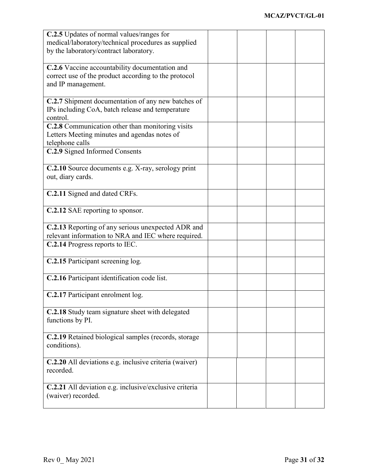| C.2.5 Updates of normal values/ranges for                    |  |  |
|--------------------------------------------------------------|--|--|
| medical/laboratory/technical procedures as supplied          |  |  |
| by the laboratory/contract laboratory.                       |  |  |
| C.2.6 Vaccine accountability documentation and               |  |  |
| correct use of the product according to the protocol         |  |  |
| and IP management.                                           |  |  |
| C.2.7 Shipment documentation of any new batches of           |  |  |
| IPs including CoA, batch release and temperature<br>control. |  |  |
| C.2.8 Communication other than monitoring visits             |  |  |
| Letters Meeting minutes and agendas notes of                 |  |  |
| telephone calls                                              |  |  |
| C.2.9 Signed Informed Consents                               |  |  |
| C.2.10 Source documents e.g. X-ray, serology print           |  |  |
| out, diary cards.                                            |  |  |
| C.2.11 Signed and dated CRFs.                                |  |  |
|                                                              |  |  |
| C.2.12 SAE reporting to sponsor.                             |  |  |
| C.2.13 Reporting of any serious unexpected ADR and           |  |  |
| relevant information to NRA and IEC where required.          |  |  |
| C.2.14 Progress reports to IEC.                              |  |  |
| C.2.15 Participant screening log.                            |  |  |
| C.2.16 Participant identification code list.                 |  |  |
| C.2.17 Participant enrolment log.                            |  |  |
| C.2.18 Study team signature sheet with delegated             |  |  |
| functions by PI.                                             |  |  |
| C.2.19 Retained biological samples (records, storage         |  |  |
| conditions).                                                 |  |  |
| C.2.20 All deviations e.g. inclusive criteria (waiver)       |  |  |
| recorded.                                                    |  |  |
| C.2.21 All deviation e.g. inclusive/exclusive criteria       |  |  |
| (waiver) recorded.                                           |  |  |
|                                                              |  |  |